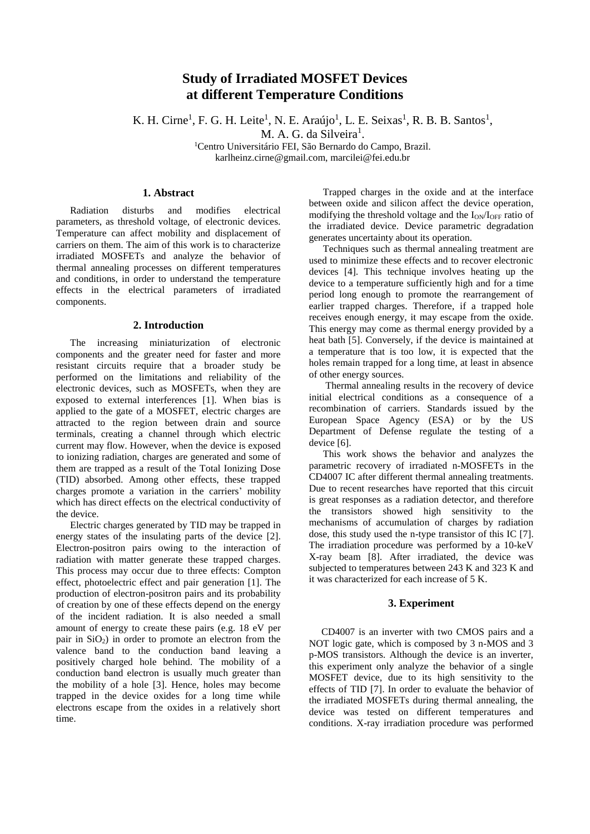# **Study of Irradiated MOSFET Devices at different Temperature Conditions**

K. H. Cirne<sup>1</sup>, F. G. H. Leite<sup>1</sup>, N. E. Araújo<sup>1</sup>, L. E. Seixas<sup>1</sup>, R. B. B. Santos<sup>1</sup>,

M. A. G. da Silveira<sup>1</sup>.

<sup>1</sup>Centro Universitário FEI, São Bernardo do Campo, Brazil. karlheinz.cirne@gmail.com, marcilei@fei.edu.br

## **1. Abstract**

Radiation disturbs and modifies electrical parameters, as threshold voltage, of electronic devices. Temperature can affect mobility and displacement of carriers on them. The aim of this work is to characterize irradiated MOSFETs and analyze the behavior of thermal annealing processes on different temperatures and conditions, in order to understand the temperature effects in the electrical parameters of irradiated components.

#### **2. Introduction**

The increasing miniaturization of electronic components and the greater need for faster and more resistant circuits require that a broader study be performed on the limitations and reliability of the electronic devices, such as MOSFETs, when they are exposed to external interferences [1]. When bias is applied to the gate of a MOSFET, electric charges are attracted to the region between drain and source terminals, creating a channel through which electric current may flow. However, when the device is exposed to ionizing radiation, charges are generated and some of them are trapped as a result of the Total Ionizing Dose (TID) absorbed. Among other effects, these trapped charges promote a variation in the carriers' mobility which has direct effects on the electrical conductivity of the device.

Electric charges generated by TID may be trapped in energy states of the insulating parts of the device [2]. Electron-positron pairs owing to the interaction of radiation with matter generate these trapped charges. This process may occur due to three effects: Compton effect, photoelectric effect and pair generation [1]. The production of electron-positron pairs and its probability of creation by one of these effects depend on the energy of the incident radiation. It is also needed a small amount of energy to create these pairs (e.g. 18 eV per pair in  $SiO<sub>2</sub>$ ) in order to promote an electron from the valence band to the conduction band leaving a positively charged hole behind. The mobility of a conduction band electron is usually much greater than the mobility of a hole [3]. Hence, holes may become trapped in the device oxides for a long time while electrons escape from the oxides in a relatively short time.

Trapped charges in the oxide and at the interface between oxide and silicon affect the device operation, modifying the threshold voltage and the  $I_{ON}/I_{OFF}$  ratio of the irradiated device. Device parametric degradation generates uncertainty about its operation.

Techniques such as thermal annealing treatment are used to minimize these effects and to recover electronic devices [4]. This technique involves heating up the device to a temperature sufficiently high and for a time period long enough to promote the rearrangement of earlier trapped charges. Therefore, if a trapped hole receives enough energy, it may escape from the oxide. This energy may come as thermal energy provided by a heat bath [5]. Conversely, if the device is maintained at a temperature that is too low, it is expected that the holes remain trapped for a long time, at least in absence of other energy sources.

Thermal annealing results in the recovery of device initial electrical conditions as a consequence of a recombination of carriers. Standards issued by the European Space Agency (ESA) or by the US Department of Defense regulate the testing of a device [6].

This work shows the behavior and analyzes the parametric recovery of irradiated n-MOSFETs in the CD4007 IC after different thermal annealing treatments. Due to recent researches have reported that this circuit is great responses as a radiation detector, and therefore the transistors showed high sensitivity to the mechanisms of accumulation of charges by radiation dose, this study used the n-type transistor of this IC [7]. The irradiation procedure was performed by a 10-keV X-ray beam [8]. After irradiated, the device was subjected to temperatures between 243 K and 323 K and it was characterized for each increase of 5 K.

## **3. Experiment**

 CD4007 is an inverter with two CMOS pairs and a NOT logic gate, which is composed by 3 n-MOS and 3 p-MOS transistors. Although the device is an inverter, this experiment only analyze the behavior of a single MOSFET device, due to its high sensitivity to the effects of TID [7]. In order to evaluate the behavior of the irradiated MOSFETs during thermal annealing, the device was tested on different temperatures and conditions. X-ray irradiation procedure was performed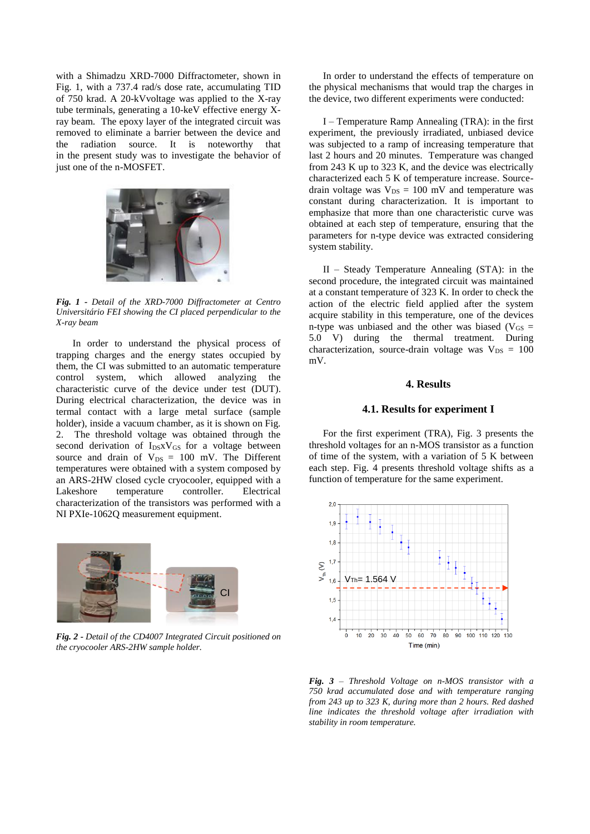with a Shimadzu XRD-7000 Diffractometer, shown in Fig. 1, with a 737.4 rad/s dose rate, accumulating TID of 750 krad. A 20-kVvoltage was applied to the X-ray tube terminals, generating a 10-keV effective energy Xray beam. The epoxy layer of the integrated circuit was removed to eliminate a barrier between the device and the radiation source. It is noteworthy that in the present study was to investigate the behavior of just one of the n-MOSFET.



*Fig. 1 - Detail of the XRD-7000 Diffractometer at Centro Universitário FEI showing the CI placed perpendicular to the X-ray beam*

In order to understand the physical process of trapping charges and the energy states occupied by them, the CI was submitted to an automatic temperature control system, which allowed analyzing the characteristic curve of the device under test (DUT). During electrical characterization, the device was in termal contact with a large metal surface (sample holder), inside a vacuum chamber, as it is shown on Fig. 2. The threshold voltage was obtained through the second derivation of I<sub>DS</sub>xV<sub>GS</sub> for a voltage between source and drain of  $V_{DS} = 100$  mV. The Different temperatures were obtained with a system composed by an ARS-2HW closed cycle cryocooler, equipped with a Lakeshore temperature controller. Electrical characterization of the transistors was performed with a NI PXIe-1062Q measurement equipment.



*Fig. 2 - Detail of the CD4007 Integrated Circuit positioned on the cryocooler ARS-2HW sample holder.*

In order to understand the effects of temperature on the physical mechanisms that would trap the charges in the device, two different experiments were conducted:

I – Temperature Ramp Annealing (TRA): in the first experiment, the previously irradiated, unbiased device was subjected to a ramp of increasing temperature that last 2 hours and 20 minutes. Temperature was changed from 243 K up to 323 K, and the device was electrically characterized each 5 K of temperature increase. Sourcedrain voltage was  $V_{DS} = 100$  mV and temperature was constant during characterization. It is important to emphasize that more than one characteristic curve was obtained at each step of temperature, ensuring that the parameters for n-type device was extracted considering system stability.

II – Steady Temperature Annealing (STA): in the second procedure, the integrated circuit was maintained at a constant temperature of 323 K. In order to check the action of the electric field applied after the system acquire stability in this temperature, one of the devices n-type was unbiased and the other was biased ( $V_{GS}$  = 5.0 V) during the thermal treatment. During characterization, source-drain voltage was  $V_{DS} = 100$ mV.

## **4. Results**

#### **4.1. Results for experiment I**

For the first experiment (TRA), Fig. 3 presents the threshold voltages for an n-MOS transistor as a function of time of the system, with a variation of 5 K between each step. Fig. 4 presents threshold voltage shifts as a function of temperature for the same experiment.



*Fig. 3 – Threshold Voltage on n-MOS transistor with a 750 krad accumulated dose and with temperature ranging from 243 up to 323 K, during more than 2 hours. Red dashed line indicates the threshold voltage after irradiation with stability in room temperature.*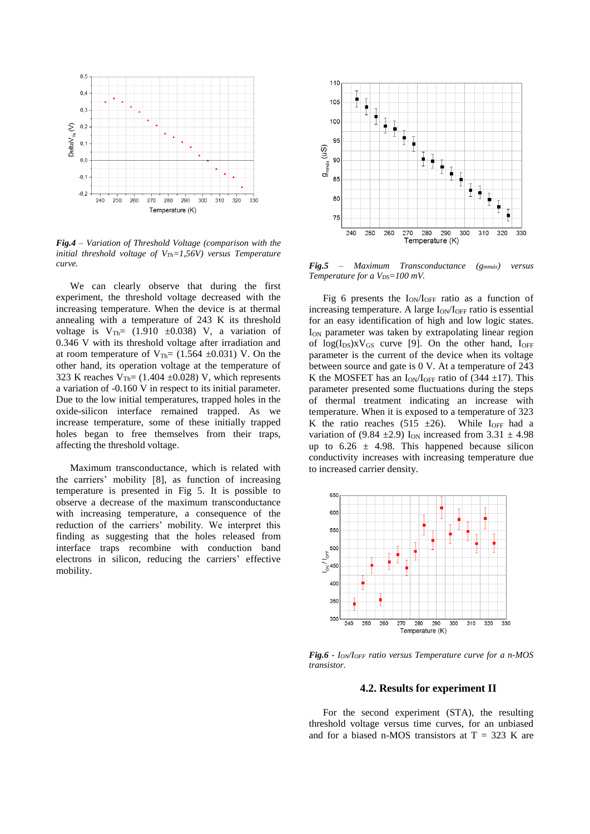

*Fig.4 – Variation of Threshold Voltage (comparison with the initial threshold voltage of VTh=1,56V) versus Temperature curve.*

We can clearly observe that during the first experiment, the threshold voltage decreased with the increasing temperature. When the device is at thermal annealing with a temperature of 243 K its threshold voltage is  $V_{Th} = (1.910 \pm 0.038)$  V, a variation of 0.346 V with its threshold voltage after irradiation and at room temperature of  $V_{Th} = (1.564 \pm 0.031)$  V. On the other hand, its operation voltage at the temperature of 323 K reaches  $V_{\text{Th}}$  = (1.404  $\pm$ 0.028) V, which represents a variation of -0.160 V in respect to its initial parameter. Due to the low initial temperatures, trapped holes in the oxide-silicon interface remained trapped. As we increase temperature, some of these initially trapped holes began to free themselves from their traps, affecting the threshold voltage.

Maximum transconductance, which is related with the carriers' mobility [8], as function of increasing temperature is presented in Fig 5. It is possible to observe a decrease of the maximum transconductance with increasing temperature, a consequence of the reduction of the carriers' mobility. We interpret this finding as suggesting that the holes released from interface traps recombine with conduction band electrons in silicon, reducing the carriers' effective mobility.



*Fig.5 – Maximum Transconductance (gmmáx) versus Temperature for a VDS=100 mV.*

Fig 6 presents the ION/IOFF ratio as a function of increasing temperature. A large  $I_{ON}/I_{OFF}$  ratio is essential for an easy identification of high and low logic states. I<sub>ON</sub> parameter was taken by extrapolating linear region of  $log(I_{DS})$ xV<sub>GS</sub> curve [9]. On the other hand,  $I_{OFF}$ parameter is the current of the device when its voltage between source and gate is 0 V. At a temperature of 243 K the MOSFET has an  $I_{ON}/I_{OFF}$  ratio of (344  $\pm$ 17). This parameter presented some fluctuations during the steps of thermal treatment indicating an increase with temperature. When it is exposed to a temperature of 323 K the ratio reaches (515  $\pm$ 26). While I<sub>OFF</sub> had a variation of (9.84  $\pm$ 2.9) I<sub>ON</sub> increased from 3.31  $\pm$  4.98 up to  $6.26 \pm 4.98$ . This happened because silicon conductivity increases with increasing temperature due to increased carrier density.



*Fig.6 - ION/IOFF ratio versus Temperature curve for a n-MOS transistor.*

### **4.2. Results for experiment II**

For the second experiment (STA), the resulting threshold voltage versus time curves, for an unbiased and for a biased n-MOS transistors at  $T = 323$  K are